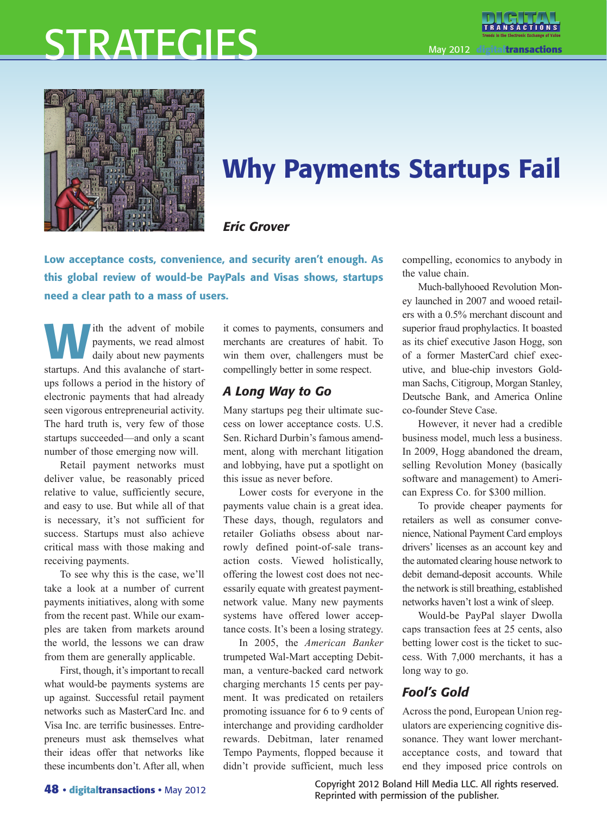# STRATEGIES

May 2012 **digitaltransactions**



# Why Payments Startups Fail

#### *Eric Grover*

Low acceptance costs, convenience, and security aren't enough. As this global review of would-be PayPals and Visas shows, startups need a clear path to a mass of users.

Ith the advent of mobile<br>payments, we read almost<br>daily about new payments payments, we read almost daily about new payments startups. And this avalanche of startups follows a period in the history of electronic payments that had already seen vigorous entrepreneurial activity. The hard truth is, very few of those startups succeeded—and only a scant number of those emerging now will.

Retail payment networks must deliver value, be reasonably priced relative to value, sufficiently secure, and easy to use. But while all of that is necessary, it's not sufficient for success. Startups must also achieve critical mass with those making and receiving payments.

To see why this is the case, we'll take a look at a number of current payments initiatives, along with some from the recent past. While our examples are taken from markets around the world, the lessons we can draw from them are generally applicable.

First, though, it's important to recall what would-be payments systems are up against. Successful retail payment networks such as MasterCard Inc. and Visa Inc. are terrific businesses. Entrepreneurs must ask themselves what their ideas offer that networks like these incumbents don't. After all, when

it comes to payments, consumers and merchants are creatures of habit. To win them over, challengers must be compellingly better in some respect.

#### *A Long Way to Go*

Many startups peg their ultimate success on lower acceptance costs. U.S. Sen. Richard Durbin's famous amendment, along with merchant litigation and lobbying, have put a spotlight on this issue as never before.

Lower costs for everyone in the payments value chain is a great idea. These days, though, regulators and retailer Goliaths obsess about narrowly defined point-of-sale transaction costs. Viewed holistically, offering the lowest cost does not necessarily equate with greatest paymentnetwork value. Many new payments systems have offered lower acceptance costs. It's been a losing strategy.

In 2005, the *American Banker*  trumpeted Wal-Mart accepting Debitman, a venture-backed card network charging merchants 15 cents per payment. It was predicated on retailers promoting issuance for 6 to 9 cents of interchange and providing cardholder rewards. Debitman, later renamed Tempo Payments, flopped because it didn't provide sufficient, much less

compelling, economics to anybody in the value chain.

Much-ballyhooed Revolution Money launched in 2007 and wooed retailers with a 0.5% merchant discount and superior fraud prophylactics. It boasted as its chief executive Jason Hogg, son of a former MasterCard chief executive, and blue-chip investors Goldman Sachs, Citigroup, Morgan Stanley, Deutsche Bank, and America Online co-founder Steve Case.

However, it never had a credible business model, much less a business. In 2009, Hogg abandoned the dream, selling Revolution Money (basically software and management) to American Express Co. for \$300 million.

To provide cheaper payments for retailers as well as consumer convenience, National Payment Card employs drivers' licenses as an account key and the automated clearing house network to debit demand-deposit accounts. While the network is still breathing, established networks haven't lost a wink of sleep.

Would-be PayPal slayer Dwolla caps transaction fees at 25 cents, also betting lower cost is the ticket to success. With 7,000 merchants, it has a long way to go.

### *Fool's Gold*

Across the pond, European Union regulators are experiencing cognitive dissonance. They want lower merchantacceptance costs, and toward that end they imposed price controls on

Copyright 2012 Boland Hill Media LLC. All rights reserved. Reprinted with permission of the publisher.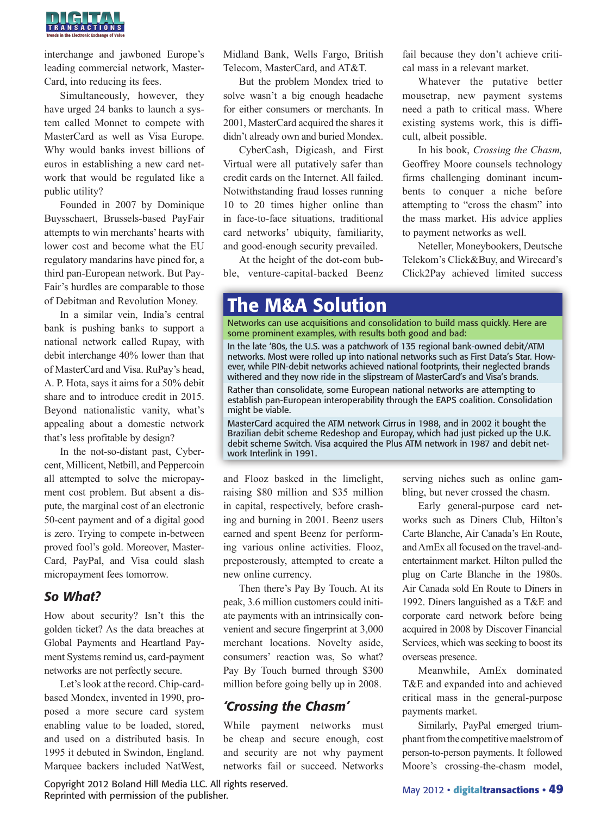

interchange and jawboned Europe's leading commercial network, Master-Card, into reducing its fees.

Simultaneously, however, they have urged 24 banks to launch a system called Monnet to compete with MasterCard as well as Visa Europe. Why would banks invest billions of euros in establishing a new card network that would be regulated like a public utility?

Founded in 2007 by Dominique Buysschaert, Brussels-based PayFair attempts to win merchants' hearts with lower cost and become what the EU regulatory mandarins have pined for, a third pan-European network. But Pay-Fair's hurdles are comparable to those of Debitman and Revolution Money.

In a similar vein, India's central bank is pushing banks to support a national network called Rupay, with debit interchange 40% lower than that of MasterCard and Visa. RuPay's head, A. P. Hota, says it aims for a 50% debit share and to introduce credit in 2015. Beyond nationalistic vanity, what's appealing about a domestic network that's less profitable by design?

In the not-so-distant past, Cybercent, Millicent, Netbill, and Peppercoin all attempted to solve the micropayment cost problem. But absent a dispute, the marginal cost of an electronic 50-cent payment and of a digital good is zero. Trying to compete in-between proved fool's gold. Moreover, Master-Card, PayPal, and Visa could slash micropayment fees tomorrow.

#### *So What?*

How about security? Isn't this the golden ticket? As the data breaches at Global Payments and Heartland Payment Systems remind us, card-payment networks are not perfectly secure.

Let's look at the record. Chip-cardbased Mondex, invented in 1990, proposed a more secure card system enabling value to be loaded, stored, and used on a distributed basis. In 1995 it debuted in Swindon, England. Marquee backers included NatWest,

Copyright 2012 Boland Hill Media LLC. All rights reserved. Reprinted with permission of the publisher.

Midland Bank, Wells Fargo, British Telecom, MasterCard, and AT&T.

But the problem Mondex tried to solve wasn't a big enough headache for either consumers or merchants. In 2001, MasterCard acquired the shares it didn't already own and buried Mondex.

CyberCash, Digicash, and First Virtual were all putatively safer than credit cards on the Internet. All failed. Notwithstanding fraud losses running 10 to 20 times higher online than in face-to-face situations, traditional card networks' ubiquity, familiarity, and good-enough security prevailed.

At the height of the dot-com bubble, venture-capital-backed Beenz fail because they don't achieve critical mass in a relevant market.

Whatever the putative better mousetrap, new payment systems need a path to critical mass. Where existing systems work, this is difficult, albeit possible.

In his book, *Crossing the Chasm,* Geoffrey Moore counsels technology firms challenging dominant incumbents to conquer a niche before attempting to "cross the chasm" into the mass market. His advice applies to payment networks as well.

Neteller, Moneybookers, Deutsche Telekom's Click&Buy, and Wirecard's Click2Pay achieved limited success

## The M&A Solution

Networks can use acquisitions and consolidation to build mass quickly. Here are some prominent examples, with results both good and bad:

In the late '80s, the U.S. was a patchwork of 135 regional bank-owned debit/ATM networks. Most were rolled up into national networks such as First Data's Star. However, while PIN-debit networks achieved national footprints, their neglected brands withered and they now ride in the slipstream of MasterCard's and Visa's brands.

Rather than consolidate, some European national networks are attempting to establish pan-European interoperability through the EAPS coalition. Consolidation might be viable.

MasterCard acquired the ATM network Cirrus in 1988, and in 2002 it bought the Brazilian debit scheme Redeshop and Europay, which had just picked up the U.K. debit scheme Switch. Visa acquired the Plus ATM network in 1987 and debit network Interlink in 1991.

and Flooz basked in the limelight, raising \$80 million and \$35 million in capital, respectively, before crashing and burning in 2001. Beenz users earned and spent Beenz for performing various online activities. Flooz, preposterously, attempted to create a new online currency.

Then there's Pay By Touch. At its peak, 3.6 million customers could initiate payments with an intrinsically convenient and secure fingerprint at 3,000 merchant locations. Novelty aside, consumers' reaction was, So what? Pay By Touch burned through \$300 million before going belly up in 2008.

#### *'Crossing the Chasm'*

While payment networks must be cheap and secure enough, cost and security are not why payment networks fail or succeed. Networks serving niches such as online gambling, but never crossed the chasm.

Early general-purpose card networks such as Diners Club, Hilton's Carte Blanche, Air Canada's En Route, and AmEx all focused on the travel-andentertainment market. Hilton pulled the plug on Carte Blanche in the 1980s. Air Canada sold En Route to Diners in 1992. Diners languished as a T&E and corporate card network before being acquired in 2008 by Discover Financial Services, which was seeking to boost its overseas presence.

Meanwhile, AmEx dominated T&E and expanded into and achieved critical mass in the general-purpose payments market.

Similarly, PayPal emerged triumphant from the competitive maelstrom of person-to-person payments. It followed Moore's crossing-the-chasm model,